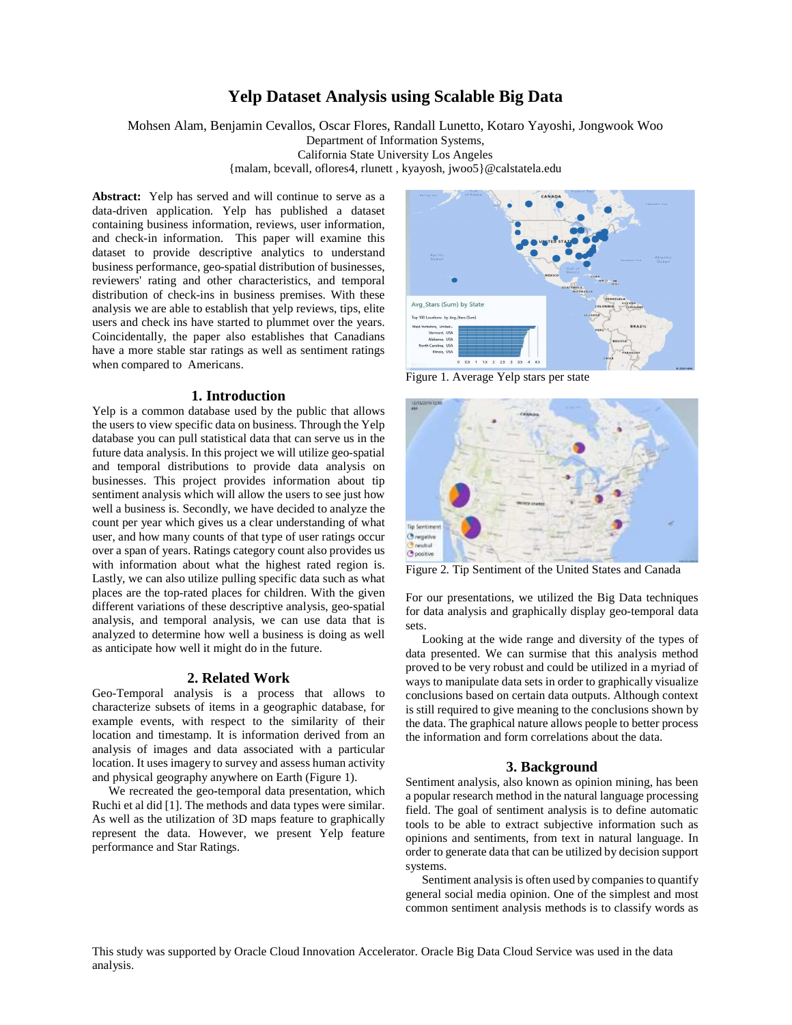# **Yelp Dataset Analysis using Scalable Big Data**

Mohsen Alam, Benjamin Cevallos, Oscar Flores, Randall Lunetto, Kotaro Yayoshi, Jongwook Woo

Department of Information Systems,

California State University Los Angeles

{malam, bcevall, oflores4, rlunett , kyayosh, jwoo5}@calstatela.edu

Abstract: Yelp has served and will continue to serve as a data-driven application. Yelp has published a dataset containing business information, reviews, user information, and check-in information. This paper will examine this dataset to provide descriptive analytics to understand business performance, geo-spatial distribution of businesses, reviewers' rating and other characteristics, and temporal distribution of check-ins in business premises. With these analysis we are able to establish that yelp reviews, tips, elite users and check ins have started to plummet over the years. Coincidentally, the paper also establishes that Canadians have a more stable star ratings as well as sentiment ratings when compared to Americans.

#### **1. Introduction**

Yelp is a common database used by the public that allows the users to view specific data on business. Through the Yelp database you can pull statistical data that can serve us in the future data analysis. In this project we will utilize geo-spatial and temporal distributions to provide data analysis on businesses. This project provides information about tip sentiment analysis which will allow the users to see just how well a business is. Secondly, we have decided to analyze the count per year which gives us a clear understanding of what user, and how many counts of that type of user ratings occur over a span of years. Ratings category count also provides us with information about what the highest rated region is. Lastly, we can also utilize pulling specific data such as what places are the top-rated places for children. With the given different variations of these descriptive analysis, geo-spatial analysis, and temporal analysis, we can use data that is analyzed to determine how well a business is doing as well as anticipate how well it might do in the future.

#### **2. Related Work**

Geo-Temporal analysis is a process that allows to characterize subsets of items in a geographic database, for example events, with respect to the similarity of their location and timestamp. It is information derived from an analysis of images and data associated with a particular location. It uses imagery to survey and assess human activity and physical geography anywhere on Earth (Figure 1).

We recreated the geo**-**temporal data presentation, which Ruchi et al did [1]. The methods and data types were similar. As well as the utilization of 3D maps feature to graphically represent the data. However, we present Yelp feature performance and Star Ratings.



Figure 1. Average Yelp stars per state



Figure 2. Tip Sentiment of the United States and Canada

For our presentations, we utilized the Big Data techniques for data analysis and graphically display geo-temporal data sets.

Looking at the wide range and diversity of the types of data presented. We can surmise that this analysis method proved to be very robust and could be utilized in a myriad of ways to manipulate data sets in order to graphically visualize conclusions based on certain data outputs. Although context is still required to give meaning to the conclusions shown by the data. The graphical nature allows people to better process the information and form correlations about the data.

### **3. Background**

Sentiment analysis, also known as opinion mining, has been a popular research method in the natural language processing field. The goal of sentiment analysis is to define automatic tools to be able to extract subjective information such as opinions and sentiments, from text in natural language. In order to generate data that can be utilized by decision support systems.

Sentiment analysis is often used by companies to quantify general social media opinion. One of the simplest and most common sentiment analysis methods is to classify words as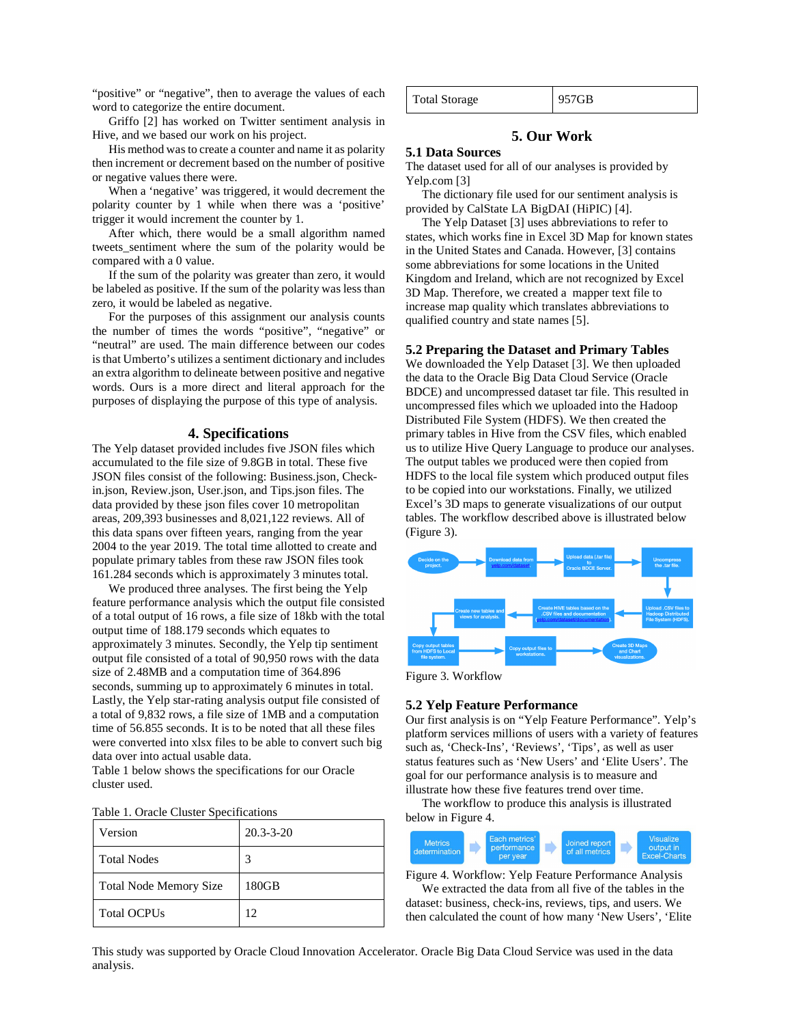"positive" or "negative", then to average the values of each word to categorize the entire document.

Griffo [2] has worked on Twitter sentiment analysis in Hive, and we based our work on his project.

His method was to create a counter and name it as polarity then increment or decrement based on the number of positive or negative values there were.

When a 'negative' was triggered, it would decrement the polarity counter by 1 while when there was a 'positive' trigger it would increment the counter by 1.

After which, there would be a small algorithm named tweets\_sentiment where the sum of the polarity would be compared with a 0 value.

If the sum of the polarity was greater than zero, it would be labeled as positive. If the sum of the polarity was less than zero, it would be labeled as negative.

For the purposes of this assignment our analysis counts the number of times the words "positive", "negative" or "neutral" are used. The main difference between our codes is that Umberto's utilizes a sentiment dictionary and includes an extra algorithm to delineate between positive and negative words. Ours is a more direct and literal approach for the purposes of displaying the purpose of this type of analysis.

#### **4. Specifications**

The Yelp dataset provided includes five JSON files which accumulated to the file size of 9.8GB in total. These five JSON files consist of the following: Business.json, Checkin.json, Review.json, User.json, and Tips.json files. The data provided by these json files cover 10 metropolitan areas, 209,393 businesses and 8,021,122 reviews. All of this data spans over fifteen years, ranging from the year 2004 to the year 2019. The total time allotted to create and populate primary tables from these raw JSON files took 161.284 seconds which is approximately 3 minutes total.

We produced three analyses. The first being the Yelp feature performance analysis which the output file consisted of a total output of 16 rows, a file size of 18kb with the total output time of 188.179 seconds which equates to approximately 3 minutes. Secondly, the Yelp tip sentiment output file consisted of a total of 90,950 rows with the data size of 2.48MB and a computation time of 364.896 seconds, summing up to approximately 6 minutes in total. Lastly, the Yelp star-rating analysis output file consisted of a total of 9,832 rows, a file size of 1MB and a computation time of 56.855 seconds. It is to be noted that all these files were converted into xlsx files to be able to convert such big data over into actual usable data.

Table 1 below shows the specifications for our Oracle cluster used.

|  |  |  | Table 1. Oracle Cluster Specifications |
|--|--|--|----------------------------------------|
|--|--|--|----------------------------------------|

| Version                       | $20.3 - 3 - 20$ |
|-------------------------------|-----------------|
| <b>Total Nodes</b>            | 3               |
| <b>Total Node Memory Size</b> | 180GB           |
| <b>Total OCPUs</b>            | 12 <sub>1</sub> |

Total Storage 957GB

## **5. Our Work**

#### **5.1 Data Sources**

The dataset used for all of our analyses is provided by Yelp.com [3]

The dictionary file used for our sentiment analysis is provided by CalState LA BigDAI (HiPIC) [4].

The Yelp Dataset [3] uses abbreviations to refer to states, which works fine in Excel 3D Map for known states in the United States and Canada. However, [3] contains some abbreviations for some locations in the United Kingdom and Ireland, which are not recognized by Excel 3D Map. Therefore, we created a mapper text file to increase map quality which translates abbreviations to qualified country and state names [5].

#### **5.2 Preparing the Dataset and Primary Tables**

We downloaded the Yelp Dataset [3]. We then uploaded the data to the Oracle Big Data Cloud Service (Oracle BDCE) and uncompressed dataset tar file. This resulted in uncompressed files which we uploaded into the Hadoop Distributed File System (HDFS). We then created the primary tables in Hive from the CSV files, which enabled us to utilize Hive Query Language to produce our analyses. The output tables we produced were then copied from HDFS to the local file system which produced output files to be copied into our workstations. Finally, we utilized Excel's 3D maps to generate visualizations of our output tables. The workflow described above is illustrated below (Figure 3).



Figure 3. Workflow

#### **5.2 Yelp Feature Performance**

Our first analysis is on "Yelp Feature Performance". Yelp's platform services millions of users with a variety of features such as, 'Check-Ins', 'Reviews', 'Tips', as well as user status features such as 'New Users' and 'Elite Users'. The goal for our performance analysis is to measure and illustrate how these five features trend over time.

The workflow to produce this analysis is illustrated below in Figure 4.

| Each metrics'<br>Metrics<br>performance<br>determination<br>per year |  | Joined report<br>of all metrics |  | <b>Visualize</b><br>output in<br><b>Excel-Charts</b> |
|----------------------------------------------------------------------|--|---------------------------------|--|------------------------------------------------------|
|----------------------------------------------------------------------|--|---------------------------------|--|------------------------------------------------------|

Figure 4. Workflow: Yelp Feature Performance Analysis We extracted the data from all five of the tables in the dataset: business, check-ins, reviews, tips, and users. We then calculated the count of how many 'New Users', 'Elite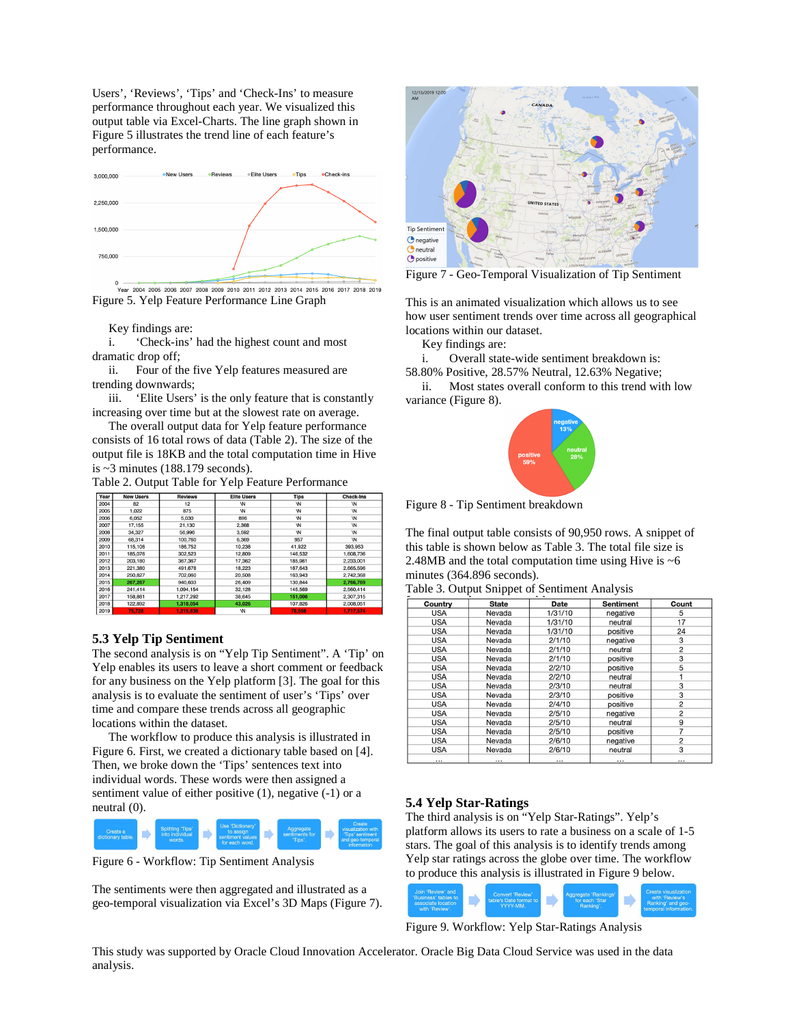Users', 'Reviews', 'Tips' and 'Check-Ins' to measure performance throughout each year. We visualized this output table via Excel-Charts. The line graph shown in Figure 5 illustrates the trend line of each feature's performance.



,<br>Year 2004 2005 2006 2007 2008 2009 2010 2011 2012 2013 2014 2015 2016 2017 2018 2019 Figure 5. Yelp Feature Performance Line Graph

Key findings are:

i. 'Check-ins' had the highest count and most dramatic drop off;

ii. Four of the five Yelp features measured are trending downwards;

iii. 'Elite Users' is the only feature that is constantly increasing over time but at the slowest rate on average.

The overall output data for Yelp feature performance consists of 16 total rows of data (Table 2). The size of the output file is 18KB and the total computation time in Hive is  $\sim$ 3 minutes (188.179 seconds).

Table 2. Output Table for Yelp Feature Performance

| Year | <b>New Users</b> | <b>Reviews</b> | <b>Elite Users</b> | <b>Tips</b> | <b>Check-Ins</b> |
|------|------------------|----------------|--------------------|-------------|------------------|
| 2004 | 82               | 12             | W                  | W           | W                |
| 2005 | 1.022            | 875            | W                  | <b>W</b>    | W                |
| 2006 | 6.052            | 5,030          | 896                | W           | W                |
| 2007 | 17,155           | 21,130         | 2.368              | W           | W                |
| 2008 | 34.327           | 56.996         | 3.592              | <b>\N</b>   | W                |
| 2009 | 68.314           | 100,760        | 6,369              | 957         | W                |
| 2010 | 115,106          | 186,752        | 10,238             | 41,922      | 393,953          |
| 2011 | 185,076          | 302.523        | 12,809             | 146,532     | 1.608.736        |
| 2012 | 203.180          | 367,367        | 17,362             | 185,961     | 2.233.001        |
| 2013 | 221,380          | 491,678        | 18,223             | 167,643     | 2,665,596        |
| 2014 | 250,827          | 702.060        | 20,508             | 163,943     | 2.742.368        |
| 2015 | 267,267          | 940,603        | 26,409             | 130,844     | 2.766.769        |
| 2016 | 241.414          | 1,094,154      | 32,128             | 145.569     | 2,560,414        |
| 2017 | 158,881          | 1.217.292      | 38.645             | 151.006     | 2.307.315        |
| 2018 | 122,892          | 1,318,054      | 43,026             | 107,826     | 2,008,051        |
| 2019 | 75.728           | 1.215.836      | W                  | 78.558      | 1.717.574        |

## **5.3 Yelp Tip Sentiment**

The second analysis is on "Yelp Tip Sentiment". A 'Tip' on Yelp enables its users to leave a short comment or feedback for any business on the Yelp platform [3]. The goal for this analysis is to evaluate the sentiment of user's 'Tips' over time and compare these trends across all geographic locations within the dataset.

The workflow to produce this analysis is illustrated in Figure 6. First, we created a dictionary table based on [4]. Then, we broke down the 'Tips' sentences text into individual words. These words were then assigned a sentiment value of either positive (1), negative (-1) or a neutral (0).



Figure 6 - Workflow: Tip Sentiment Analysis

The sentiments were then aggregated and illustrated as a geo-temporal visualization via Excel's 3D Maps (Figure 7).



Figure 7 - Geo-Temporal Visualization of Tip Sentiment

This is an animated visualization which allows us to see how user sentiment trends over time across all geographical locations within our dataset.

Key findings are:

i. Overall state-wide sentiment breakdown is: 58.80% Positive, 28.57% Neutral, 12.63% Negative;

ii. Most states overall conform to this trend with low variance (Figure 8).



Figure 8 - Tip Sentiment breakdown

The final output table consists of 90,950 rows. A snippet of this table is shown below as Table 3. The total file size is 2.48MB and the total computation time using Hive is  $~6$ minutes (364.896 seconds).

|  | Table 3. Output Snippet of Sentiment Analysis |  |
|--|-----------------------------------------------|--|
|  |                                               |  |

| Country    | <b>State</b> | <b>Date</b> | <b>Sentiment</b> | Count          |  |
|------------|--------------|-------------|------------------|----------------|--|
| <b>USA</b> | Nevada       | 1/31/10     | negative         | 5              |  |
| <b>USA</b> | Nevada       | 1/31/10     | neutral          | 17             |  |
| <b>USA</b> | Nevada       | 1/31/10     | positive         | 24             |  |
| <b>USA</b> | Nevada       | 2/1/10      | negative         | 3              |  |
| <b>USA</b> | Nevada       | 2/1/10      | neutral          | $\overline{2}$ |  |
| <b>USA</b> | Nevada       | 2/1/10      | positive         | 3              |  |
| <b>USA</b> | Nevada       | 2/2/10      | positive         | 5              |  |
| <b>USA</b> | Nevada       | 2/2/10      | neutral          |                |  |
| <b>USA</b> | Nevada       | 2/3/10      | neutral          | 3              |  |
| <b>USA</b> | Nevada       | 2/3/10      | positive         | 3              |  |
| <b>USA</b> | Nevada       | 2/4/10      | positive         | $\overline{2}$ |  |
| <b>USA</b> | Nevada       | 2/5/10      | negative         | $\overline{2}$ |  |
| <b>USA</b> | Nevada       | 2/5/10      | neutral          | 9              |  |
| <b>USA</b> | Nevada       | 2/5/10      | positive         | 7              |  |
| <b>USA</b> | Nevada       | 2/6/10      | negative         | $\overline{2}$ |  |
| <b>USA</b> | Nevada       | 2/6/10      | neutral          | 3              |  |
| $\cdots$   | $\cdots$     | $\cdots$    | $\cdots$         | $\cdots$       |  |

#### **5.4 Yelp Star-Ratings**

The third analysis is on "Yelp Star-Ratings". Yelp's platform allows its users to rate a business on a scale of 1-5 stars. The goal of this analysis is to identify trends among Yelp star ratings across the globe over time. The workflow to produce this analysis is illustrated in Figure 9 below.



Figure 9. Workflow: Yelp Star-Ratings Analysis